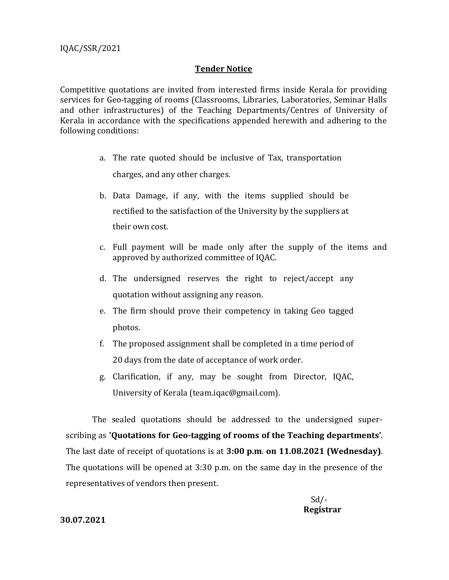## **Tender Notice**

Competitive quotations are invited from interested firms inside Kerala for providing services for Geo-tagging of rooms (Classrooms, Libraries, Laboratories, Seminar Halls and other infrastructures) of the Teaching Departments/Centres of University of Kerala in accordance with the specifications appended herewith and adhering to the following conditions:

- a. The rate quoted should be inclusive of Tax, transportation charges, and any other charges.
- b. Data Damage, if any, with the items supplied should be rectified to the satisfaction of the University by the suppliers at their own cost.
- c. Full payment will be made only after the supply of the items and approved by authorized committee of IQAC.
- d. The undersigned reserves the right to reject/accept any quotation without assigning any reason.
- e. The firm should prove their competency in taking Geo tagged photos.
- f. The proposed assignment shall be completed in a time period of 20 days from the date of acceptance of work order.
- g. Clarification, if any, may be sought from Director, IQAC, University of Kerala (team.iqac@gmail.com).

The sealed quotations should be addressed to the undersigned superscribing as **'Quotations for Geo-tagging of rooms of the Teaching departments'**. The last date of receipt of quotations is at **3:00 p.m**. **on 11.08.2021 (Wednesday)**. The quotations will be opened at 3:30 p.m. on the same day in the presence of the representatives of vendors then present.

## **30.07.2021**